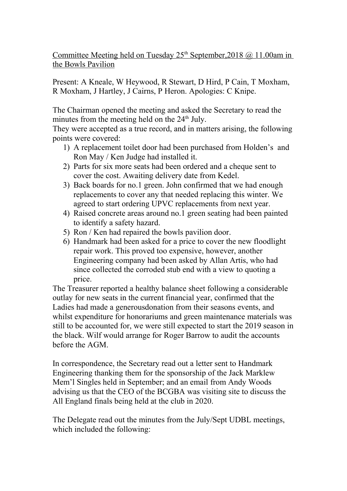Committee Meeting held on Tuesday 25<sup>th</sup> September, 2018 @ 11.00am in the Bowls Pavilion

Present: A Kneale, W Heywood, R Stewart, D Hird, P Cain, T Moxham, R Moxham, J Hartley, J Cairns, P Heron. Apologies: C Knipe.

The Chairman opened the meeting and asked the Secretary to read the minutes from the meeting held on the  $24<sup>th</sup>$  July.

They were accepted as a true record, and in matters arising, the following points were covered:

- 1) A replacement toilet door had been purchased from Holden's and Ron May / Ken Judge had installed it.
- 2) Parts for six more seats had been ordered and a cheque sent to cover the cost. Awaiting delivery date from Kedel.
- 3) Back boards for no.1 green. John confirmed that we had enough replacements to cover any that needed replacing this winter. We agreed to start ordering UPVC replacements from next year.
- 4) Raised concrete areas around no.1 green seating had been painted to identify a safety hazard.
- 5) Ron / Ken had repaired the bowls pavilion door.
- 6) Handmark had been asked for a price to cover the new floodlight repair work. This proved too expensive, however, another Engineering company had been asked by Allan Artis, who had since collected the corroded stub end with a view to quoting a price.

The Treasurer reported a healthy balance sheet following a considerable outlay for new seats in the current financial year, confirmed that the Ladies had made a generousdonation from their seasons events, and whilst expenditure for honorariums and green maintenance materials was still to be accounted for, we were still expected to start the 2019 season in the black. Wilf would arrange for Roger Barrow to audit the accounts before the AGM.

In correspondence, the Secretary read out a letter sent to Handmark Engineering thanking them for the sponsorship of the Jack Marklew Mem'l Singles held in September; and an email from Andy Woods advising us that the CEO of the BCGBA was visiting site to discuss the All England finals being held at the club in 2020.

The Delegate read out the minutes from the July/Sept UDBL meetings, which included the following: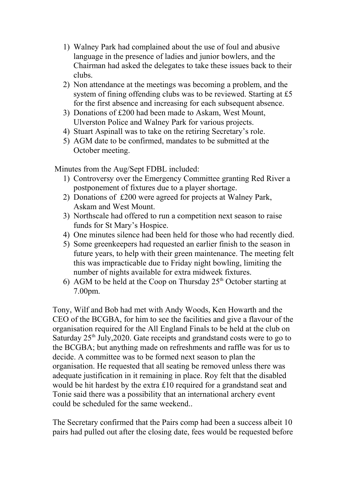- 1) Walney Park had complained about the use of foul and abusive language in the presence of ladies and junior bowlers, and the Chairman had asked the delegates to take these issues back to their clubs.
- 2) Non attendance at the meetings was becoming a problem, and the system of fining offending clubs was to be reviewed. Starting at £5 for the first absence and increasing for each subsequent absence.
- 3) Donations of £200 had been made to Askam, West Mount, Ulverston Police and Walney Park for various projects.
- 4) Stuart Aspinall was to take on the retiring Secretary's role.
- 5) AGM date to be confirmed, mandates to be submitted at the October meeting.

Minutes from the Aug/Sept FDBL included:

- 1) Controversy over the Emergency Committee granting Red River a postponement of fixtures due to a player shortage.
- 2) Donations of £200 were agreed for projects at Walney Park, Askam and West Mount.
- 3) Northscale had offered to run a competition next season to raise funds for St Mary's Hospice.
- 4) One minutes silence had been held for those who had recently died.
- 5) Some greenkeepers had requested an earlier finish to the season in future years, to help with their green maintenance. The meeting felt this was impracticable due to Friday night bowling, limiting the number of nights available for extra midweek fixtures.
- 6) AGM to be held at the Coop on Thursday  $25<sup>th</sup>$  October starting at 7.00pm.

Tony, Wilf and Bob had met with Andy Woods, Ken Howarth and the CEO of the BCGBA, for him to see the facilities and give a flavour of the organisation required for the All England Finals to be held at the club on Saturday  $25<sup>th</sup>$  July,  $2020$ . Gate receipts and grandstand costs were to go to the BCGBA; but anything made on refreshments and raffle was for us to decide. A committee was to be formed next season to plan the organisation. He requested that all seating be removed unless there was adequate justification in it remaining in place. Roy felt that the disabled would be hit hardest by the extra £10 required for a grandstand seat and Tonie said there was a possibility that an international archery event could be scheduled for the same weekend..

The Secretary confirmed that the Pairs comp had been a success albeit 10 pairs had pulled out after the closing date, fees would be requested before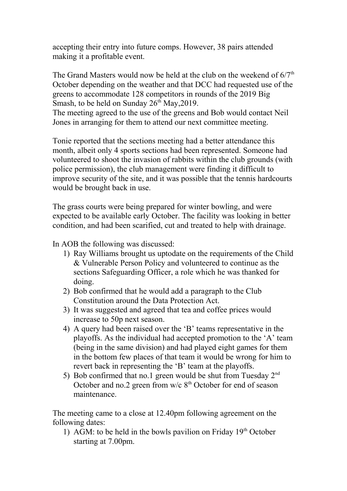accepting their entry into future comps. However, 38 pairs attended making it a profitable event.

The Grand Masters would now be held at the club on the weekend of  $6/7<sup>th</sup>$ October depending on the weather and that DCC had requested use of the greens to accommodate 128 competitors in rounds of the 2019 Big Smash, to be held on Sunday  $26<sup>th</sup>$  May, 2019.

The meeting agreed to the use of the greens and Bob would contact Neil Jones in arranging for them to attend our next committee meeting.

Tonie reported that the sections meeting had a better attendance this month, albeit only 4 sports sections had been represented. Someone had volunteered to shoot the invasion of rabbits within the club grounds (with police permission), the club management were finding it difficult to improve security of the site, and it was possible that the tennis hardcourts would be brought back in use.

The grass courts were being prepared for winter bowling, and were expected to be available early October. The facility was looking in better condition, and had been scarified, cut and treated to help with drainage.

In AOB the following was discussed:

- 1) Ray Williams brought us uptodate on the requirements of the Child & Vulnerable Person Policy and volunteered to continue as the sections Safeguarding Officer, a role which he was thanked for doing.
- 2) Bob confirmed that he would add a paragraph to the Club Constitution around the Data Protection Act.
- 3) It was suggested and agreed that tea and coffee prices would increase to 50p next season.
- 4) A query had been raised over the 'B' teams representative in the playoffs. As the individual had accepted promotion to the 'A' team (being in the same division) and had played eight games for them in the bottom few places of that team it would be wrong for him to revert back in representing the 'B' team at the playoffs.
- 5) Bob confirmed that no.1 green would be shut from Tuesday  $2<sup>nd</sup>$ October and no.2 green from  $w/c 8<sup>th</sup>$  October for end of season maintenance.

The meeting came to a close at 12.40pm following agreement on the following dates:

1) AGM: to be held in the bowls pavilion on Friday  $19<sup>th</sup>$  October starting at 7.00pm.